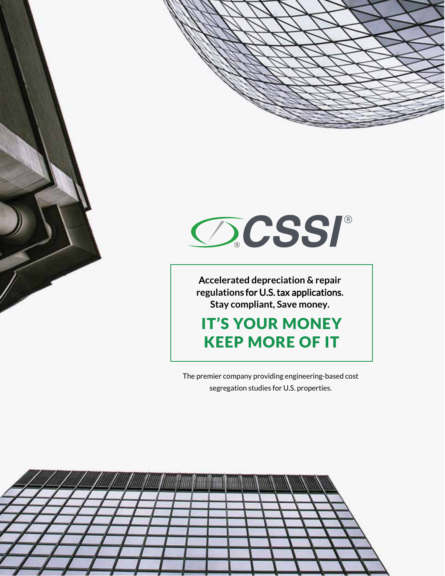





A**ccelerated depreciation & repair regulations** for U.S. tax applications**. Stay compliant, Save money.**

IT'S YOUR MONEY KEEP MORE OF IT

The premier company providing engineering-based cost segregation studies for U.S. properties.

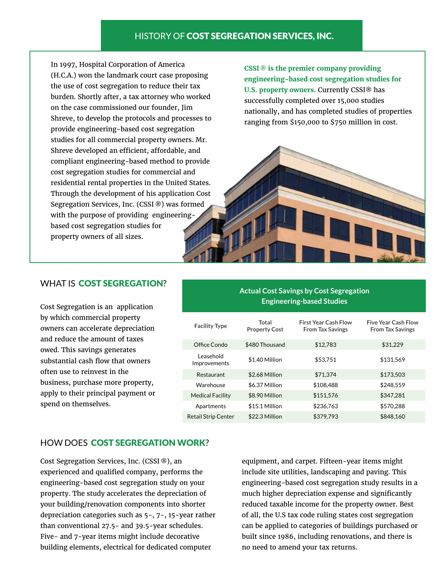# HISTORY OF COST SEGREGATION SERVICES, INC.

In 1997, Hospital Corporation of America (H.C.A.) won the landmark court case proposing the use of cost segregation to reduce their tax burden. Shortly after, a tax attorney who worked on the case commissioned our founder, Jim Shreve, to develop the protocols and processes to provide engineering-based cost segregation studies for all commercial property owners. Mr. Shreve developed an efficient, affordable, and compliant engineering-based method to provide cost segregation studies for commercial and residential rental properties in the United States. Through the development of his application Cost Segregation Services, Inc. (CSSI ®) was formed with the purpose of providing engineeringbased cost segregation studies for property owners of all sizes.

**CSSI** ® **is the premier company providing engineering-based cost segregation studies for U.S. property owners.** Currently CSSI® has successfully completed over 15,000 studies nationally, and has completed studies of properties ranging from \$150,000 to \$750 million in cost.

# WHAT IS COST SEGREGATION?

Cost Segregation is an application by which commercial property owners can accelerate depreciation and reduce the amount of taxes owed. This savings generates substantial cash flow that owners often use to reinvest in the business, purchase more property, apply to their principal payment or spend on themselves.

| <b>Actual Cost Savings by Cost Segregation</b><br><b>Engineering-based Studies</b> |                               |                                                        |                                                       |
|------------------------------------------------------------------------------------|-------------------------------|--------------------------------------------------------|-------------------------------------------------------|
| <b>Facility Type</b>                                                               | Total<br><b>Property Cost</b> | <b>First Year Cash Flow</b><br><b>From Tax Savings</b> | <b>Five Year Cash Flow</b><br><b>From Tax Savings</b> |
| Office Condo                                                                       | \$480 Thousand                | \$12,783                                               | \$31,229                                              |
| Leasehold<br>Improvements                                                          | \$1.40 Million                | \$53,751                                               | \$131,569                                             |
| Restaurant                                                                         | \$2.68 Million                | \$71,374                                               | \$173,503                                             |
| Warehouse                                                                          | \$6.37 Million                | \$108.488                                              | \$248.559                                             |
| <b>Medical Facility</b>                                                            | \$8.90 Million                | \$151,576                                              | \$347,281                                             |
| Apartments                                                                         | \$15.1 Million                | \$236,763                                              | \$570,288                                             |
| <b>Retail Strip Center</b>                                                         | \$22.3 Million                | \$379.793                                              | \$848.160                                             |

# HOW DOES COST SEGREGATION WORK?

Cost Segregation Services, Inc. (CSSI ®), an experienced and qualified company, performs the engineering-based cost segregation study on your property. The study accelerates the depreciation of your building/renovation components into shorter depreciation categories such as 5-, 7-, 15-year rather than conventional 27.5- and 39.5-year schedules. Five- and 7-year items might include decorative building elements, electrical for dedicated computer

equipment, and carpet. Fifteen-year items might include site utilities, landscaping and paving. This engineering-based cost segregation study results in a much higher depreciation expense and significantly reduced taxable income for the property owner. Best of all, the U.S tax code ruling states cost segregation can be applied to categories of buildings purchased or built since 1986, including renovations, and there is no need to amend your tax returns.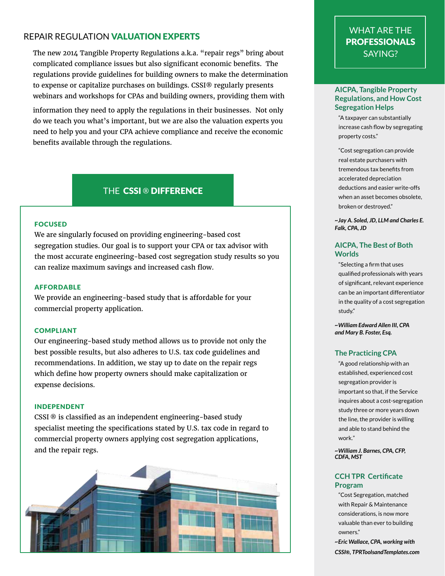# REPAIR REGULATION VALUATION EXPERTS

The new 2014 Tangible Property Regulations a.k.a. "repair regs" bring about complicated compliance issues but also significant economic benefits. The regulations provide guidelines for building owners to make the determination to expense or capitalize purchases on buildings. CSSI® regularly presents webinars and workshops for CPAs and building owners, providing them with

information they need to apply the regulations in their businesses. Not only do we teach you what's important, but we are also the valuation experts you need to help you and your CPA achieve compliance and receive the economic benefits available through the regulations.

# THE CSSI ® DIFFERENCE

## FOCUSED

We are singularly focused on providing engineering-based cost segregation studies. Our goal is to support your CPA or tax advisor with the most accurate engineering-based cost segregation study results so you can realize maximum savings and increased cash flow.

## AFFORDABLE

We provide an engineering-based study that is affordable for your commercial property application.

### COMPLIANT

Our engineering-based study method allows us to provide not only the best possible results, but also adheres to U.S. tax code guidelines and recommendations. In addition, we stay up to date on the repair regs which define how property owners should make capitalization or expense decisions.

#### INDEPENDENT

CSSI ® is classified as an independent engineering-based study specialist meeting the specifications stated by U.S. tax code in regard to commercial property owners applying cost segregation applications, and the repair regs.



# WHAT ARE THE PROFESSIONALS SAYING?

## **AICPA, Tangible Property Regulations, and How Cost Segregation Helps**

"A taxpayer can substantially increase cash flow by segregating property costs."

"Cost segregation can provide real estate purchasers with tremendous tax benefits from accelerated depreciation deductions and easier write-offs when an asset becomes obsolete, broken or destroyed."

*~Jay A. Soled, JD, LLM and Charles E. Falk, CPA, JD*

## **AICPA, The Best of Both Worlds**

"Selecting a firm that uses qualified professionals with years of significant, relevant experience can be an important differentiator in the quality of a cost segregation study."

*~William Edward Allen III, CPA and Mary B. Foster, Esq.*

## **The Practicing CPA**

"A good relationship with an established, experienced cost segregation provider is important so that, if the Service inquires about a cost-segregation study three or more years down the line, the provider is willing and able to stand behind the work."

*~William J. Barnes, CPA, CFP, CDFA, MST*

## **CCH TPR Certificate Program**

"Cost Segregation, matched with Repair & Maintenance considerations, is now more valuable than ever to building owners."

*~Eric Wallace, CPA, working with CSSI®, TPRToolsandTemplates.com*